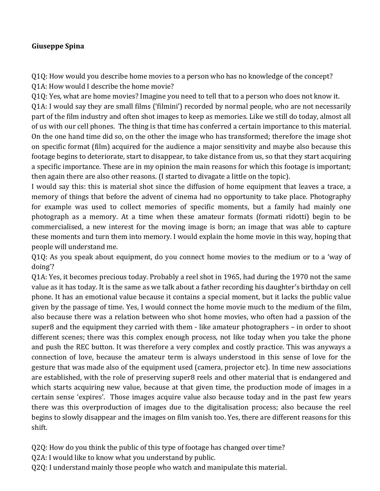## **Giuseppe Spina**

Q1Q: How would you describe home movies to a person who has no knowledge of the concept? Q1A: How would I describe the home movie?

Q1Q: Yes, what are home movies? Imagine you need to tell that to a person who does not know it. Q1A: I would say they are small films ('filmini') recorded by normal people, who are not necessarily part of the film industry and often shot images to keep as memories. Like we still do today, almost all of us with our cell phones. The thing is that time has conferred a certain importance to this material. On the one hand time did so, on the other the image who has transformed; therefore the image shot on specific format (film) acquired for the audience a major sensitivity and maybe also because this footage begins to deteriorate, start to disappear, to take distance from us, so that they start acquiring a specific importance. These are in my opinion the main reasons for which this footage is important; then again there are also other reasons. (I started to divagate a little on the topic).

I would say this: this is material shot since the diffusion of home equipment that leaves a trace, a memory of things that before the advent of cinema had no opportunity to take place. Photography for example was used to collect memories of specific moments, but a family had mainly one photograph as a memory. At a time when these amateur formats (formati ridotti) begin to be commercialised, a new interest for the moving image is born; an image that was able to capture these moments and turn them into memory. I would explain the home movie in this way, hoping that people will understand me.

 $Q1Q$ : As you speak about equipment, do you connect home movies to the medium or to a 'way of doing'?

Q1A: Yes, it becomes precious today. Probably a reel shot in 1965, had during the 1970 not the same value as it has today. It is the same as we talk about a father recording his daughter's birthday on cell phone. It has an emotional value because it contains a special moment, but it lacks the public value given by the passage of time. Yes, I would connect the home movie much to the medium of the film, also because there was a relation between who shot home movies, who often had a passion of the super8 and the equipment they carried with them - like amateur photographers - in order to shoot different scenes; there was this complex enough process, not like today when you take the phone and push the REC button. It was therefore a very complex and costly practice. This was anyways a connection of love, because the amateur term is always understood in this sense of love for the gesture that was made also of the equipment used (camera, projector etc). In time new associations are established, with the role of preserving super8 reels and other material that is endangered and which starts acquiring new value, because at that given time, the production mode of images in a certain sense 'expires'. Those images acquire value also because today and in the past few years there was this overproduction of images due to the digitalisation process; also because the reel begins to slowly disappear and the images on film vanish too. Yes, there are different reasons for this shift.

Q2Q: How do you think the public of this type of footage has changed over time?

Q2A: I would like to know what you understand by public.

Q2Q: I understand mainly those people who watch and manipulate this material.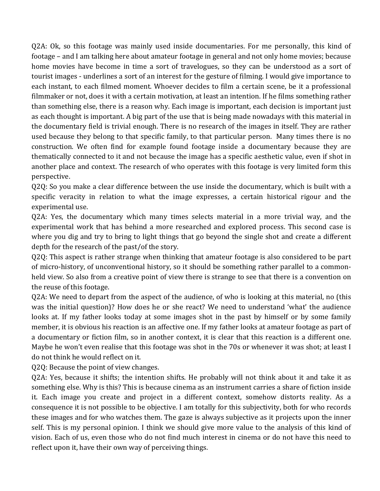$Q2A$ : Ok, so this footage was mainly used inside documentaries. For me personally, this kind of footage – and I am talking here about amateur footage in general and not only home movies; because home movies have become in time a sort of travelogues, so they can be understood as a sort of tourist images - underlines a sort of an interest for the gesture of filming. I would give importance to each instant, to each filmed moment. Whoever decides to film a certain scene, be it a professional filmmaker or not, does it with a certain motivation, at least an intention. If he films something rather than something else, there is a reason why. Each image is important, each decision is important just as each thought is important. A big part of the use that is being made nowadays with this material in the documentary field is trivial enough. There is no research of the images in itself. They are rather used because they belong to that specific family, to that particular person. Many times there is no construction. We often find for example found footage inside a documentary because they are thematically connected to it and not because the image has a specific aesthetic value, even if shot in another place and context. The research of who operates with this footage is very limited form this perspective. 

Q2Q: So you make a clear difference between the use inside the documentary, which is built with a specific veracity in relation to what the image expresses, a certain historical rigour and the experimental use.

Q2A: Yes, the documentary which many times selects material in a more trivial way, and the experimental work that has behind a more researched and explored process. This second case is where you dig and try to bring to light things that go beyond the single shot and create a different depth for the research of the past/of the story.

Q2Q: This aspect is rather strange when thinking that amateur footage is also considered to be part of micro-history, of unconventional history, so it should be something rather parallel to a commonheld view. So also from a creative point of view there is strange to see that there is a convention on the reuse of this footage.

Q2A: We need to depart from the aspect of the audience, of who is looking at this material, no (this was the initial question)? How does he or she react? We need to understand 'what' the audience looks at. If my father looks today at some images shot in the past by himself or by some family member, it is obvious his reaction is an affective one. If my father looks at amateur footage as part of a documentary or fiction film, so in another context, it is clear that this reaction is a different one. Maybe he won't even realise that this footage was shot in the 70s or whenever it was shot; at least I do not think he would reflect on it.

Q2Q: Because the point of view changes.

 $Q2A$ : Yes, because it shifts; the intention shifts. He probably will not think about it and take it as something else. Why is this? This is because cinema as an instrument carries a share of fiction inside it. Each image you create and project in a different context, somehow distorts reality. As a consequence it is not possible to be objective. I am totally for this subjectivity, both for who records these images and for who watches them. The gaze is always subjective as it projects upon the inner self. This is my personal opinion. I think we should give more value to the analysis of this kind of vision. Each of us, even those who do not find much interest in cinema or do not have this need to reflect upon it, have their own way of perceiving things.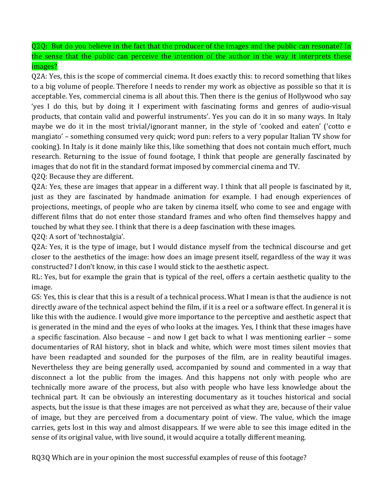Q2Q: But do you believe in the fact that the producer of the images and the public can resonate? In the sense that the public can perceive the intention of the author in the way it interprets these images?

Q2A: Yes, this is the scope of commercial cinema. It does exactly this: to record something that likes to a big volume of people. Therefore I needs to render my work as objective as possible so that it is acceptable. Yes, commercial cinema is all about this. Then there is the genius of Hollywood who say 'yes I do this, but by doing it I experiment with fascinating forms and genres of audio-visual products, that contain valid and powerful instruments'. Yes you can do it in so many ways. In Italy maybe we do it in the most trivial/ignorant manner, in the style of 'cooked and eaten' ('cotto e mangiato' – something consumed very quick; word pun: refers to a very popular Italian TV show for cooking). In Italy is it done mainly like this, like something that does not contain much effort, much research. Returning to the issue of found footage, I think that people are generally fascinated by images that do not fit in the standard format imposed by commercial cinema and TV.

Q2Q: Because they are different.

Q2A: Yes, these are images that appear in a different way. I think that all people is fascinated by it, just as they are fascinated by handmade animation for example. I had enough experiences of projections, meetings, of people who are taken by cinema itself, who come to see and engage with different films that do not enter those standard frames and who often find themselves happy and touched by what they see. I think that there is a deep fascination with these images.

Q2Q: A sort of 'technostalgia'.

Q2A: Yes, it is the type of image, but I would distance myself from the technical discourse and get closer to the aesthetics of the image: how does an image present itself, regardless of the way it was constructed? I don't know, in this case I would stick to the aesthetic aspect.

RL: Yes, but for example the grain that is typical of the reel, offers a certain aesthetic quality to the image.

GS: Yes, this is clear that this is a result of a technical process. What I mean is that the audience is not directly aware of the technical aspect behind the film, if it is a reel or a software effect. In general it is like this with the audience. I would give more importance to the perceptive and aesthetic aspect that is generated in the mind and the eyes of who looks at the images. Yes, I think that these images have a specific fascination. Also because  $-$  and now I get back to what I was mentioning earlier  $-$  some documentaries of RAI history, shot in black and white, which were most times silent movies that have been readapted and sounded for the purposes of the film, are in reality beautiful images. Nevertheless they are being generally used, accompanied by sound and commented in a way that disconnect a lot the public from the images. And this happens not only with people who are technically more aware of the process, but also with people who have less knowledge about the technical part. It can be obviously an interesting documentary as it touches historical and social aspects, but the issue is that these images are not perceived as what they are, because of their value of image, but they are perceived from a documentary point of view. The value, which the image carries, gets lost in this way and almost disappears. If we were able to see this image edited in the sense of its original value, with live sound, it would acquire a totally different meaning.

RQ3Q Which are in your opinion the most successful examples of reuse of this footage?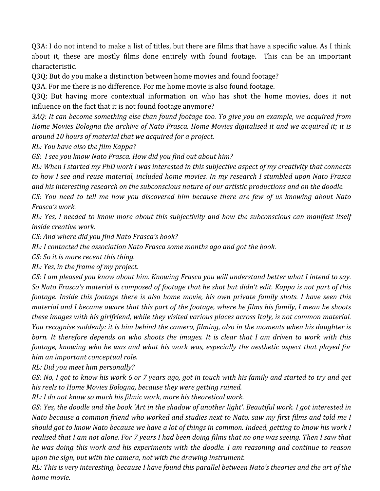Q3A: I do not intend to make a list of titles, but there are films that have a specific value. As I think about it, these are mostly films done entirely with found footage. This can be an important characteristic.

Q3Q: But do you make a distinction between home movies and found footage?

Q3A. For me there is no difference. For me home movie is also found footage.

O3O: But having more contextual information on who has shot the home movies, does it not influence on the fact that it is not found footage anymore?

*3AQ: It can become something else than found footage too. To give you an example, we acquired from Home Movies Bologna the archive of Nato Frasca. Home Movies digitalised it and we acquired it; it is* around 10 hours of material that we acquired for a project.

*RL: You have also the film Kappa?*

GS: I see you know Nato Frasca. How did you find out about him?

*RL:* When I started my PhD work I was interested in this subjective aspect of my creativity that connects to how I see and reuse material, included home movies. In my research I stumbled upon Nato Frasca and his interesting research on the subconscious nature of our artistic productions and on the doodle.

*GS: You need to tell me how you discovered him because there are few of us knowing about Nato Frasca's work.*

*RL:* Yes, I needed to know more about this subjectivity and how the subconscious can manifest itself *inside creative work.*

GS: And where did you find Nato Frasca's book?

*RL: I contacted the association Nato Frasca some months ago and got the book.* 

*GS:* So it is more recent this thing.

*RL:* Yes, in the frame of my project.

*GS: I* am pleased you know about him. Knowing Frasca you will understand better what I intend to say. So Nato Frasca's material is composed of footage that he shot but didn't edit. Kappa is not part of this *footage. Inside this footage there is also home movie, his own private family shots. I have seen this material and I became aware that this part of the footage, where he films his family, I mean he shoots these images with his girlfriend, while they visited various places across Italy, is not common material. You recognise suddenly: it is him behind the camera, filming, also in the moments when his daughter is born.* It therefore depends on who shoots the images. It is clear that I am driven to work with this *footage,* knowing who he was and what his work was, especially the aesthetic aspect that played for *him an important conceptual role.* 

*RL: Did you meet him personally?*

*GS:* No, I got to know his work 6 or 7 years ago, got in touch with his family and started to try and get his reels to Home Movies Bologna, because they were getting ruined.

*RL: I do not know so much his filmic work, more his theoretical work.* 

GS: Yes, the doodle and the book 'Art in the shadow of another light'. Beautiful work. I got interested in *Nato because a common friend who worked and studies next to Nato, saw my first films and told me I should got to know Nato because we have a lot of things in common. Indeed, getting to know his work I* realised that I am not alone. For 7 years I had been doing films that no one was seeing. Then I saw that *he* was doing this work and his experiments with the doodle. I am reasoning and continue to reason upon the sign, but with the camera, not with the drawing instrument.

*RL:* This is very interesting, because I have found this parallel between Nato's theories and the art of the *home movie.*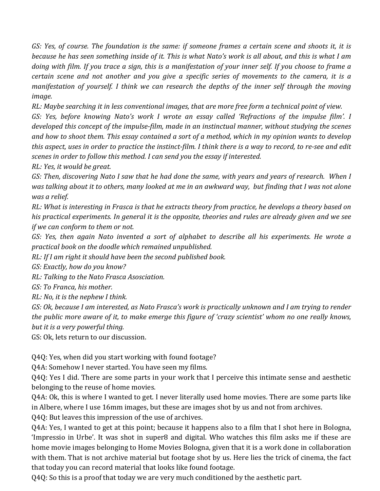*GS: Yes, of course. The foundation is the same: if someone frames a certain scene and shoots it, it is because he has seen something inside of it. This is what Nato's work is all about, and this is what I am doing* with film. If you trace a sign, this is a manifestation of your inner self. If you choose to frame a *certain scene and not another and you give a specific series of movements to the camera, it is a manifestation of yourself.* I think we can research the depths of the inner self through the moving *image.* 

*RL: Maybe searching it in less conventional images, that are more free form a technical point of view.* 

*GS: Yes, before knowing Nato's work I wrote an essay called 'Refractions of the impulse film'. I* developed this concept of the impulse-film, made in an instinctual manner, without studying the scenes and how to shoot them. This essay contained a sort of a method, which in my opinion wants to develop this aspect, uses in order to practice the instinct-film. I think there is a way to record, to re-see and edit scenes in order to follow this method. I can send you the essay if interested.

*RL:* Yes, it would be great.

*GS:* Then, discovering Nato I saw that he had done the same, with years and years of research. When I was talking about it to others, many looked at me in an awkward way, but finding that I was not alone *was a relief.*

*RL:* What is interesting in Frasca is that he extracts theory from practice, he develops a theory based on his practical experiments. In general it is the opposite, theories and rules are already given and we see *if* we can conform to them or not.

*GS:* Yes, then again Nato invented a sort of alphabet to describe all his experiments. He wrote a *practical book on the doodle which remained unpublished.*

*RL:* If I am right it should have been the second published book.

GS: Exactly, how do you know?

*RL: Talking to the Nato Frasca Asosciation.* 

*GS: To Franca, his mother.*

*RL:* No, it is the nephew I think.

GS: Ok, because I am interested, as Nato Frasca's work is practically unknown and I am trying to render *the public* more aware of it, to make emerge this figure of 'crazy scientist' whom no one really knows, *but it is a very powerful thing.* 

GS: Ok, lets return to our discussion.

Q4Q: Yes, when did you start working with found footage?

Q4A: Somehow I never started. You have seen my films.

Q4Q: Yes I did. There are some parts in your work that I perceive this intimate sense and aesthetic belonging to the reuse of home movies.

Q4A: Ok, this is where I wanted to get. I never literally used home movies. There are some parts like in Albere, where I use 16mm images, but these are images shot by us and not from archives.

Q4Q: But leaves this impression of the use of archives.

Q4A: Yes, I wanted to get at this point; because it happens also to a film that I shot here in Bologna, 'Impressio in Urbe'. It was shot in super8 and digital. Who watches this film asks me if these are home movie images belonging to Home Movies Bologna, given that it is a work done in collaboration with them. That is not archive material but footage shot by us. Here lies the trick of cinema, the fact that today you can record material that looks like found footage.

Q4Q: So this is a proof that today we are very much conditioned by the aesthetic part.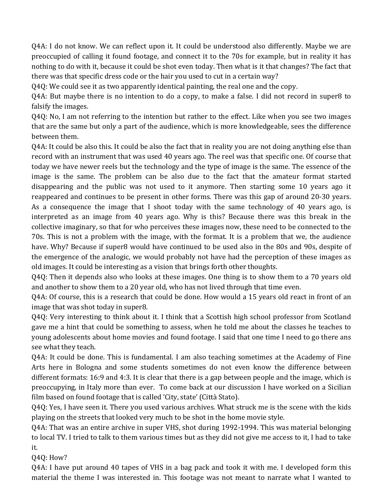Q4A: I do not know. We can reflect upon it. It could be understood also differently. Maybe we are preoccupied of calling it found footage, and connect it to the 70s for example, but in reality it has nothing to do with it, because it could be shot even today. Then what is it that changes? The fact that there was that specific dress code or the hair you used to cut in a certain way?

Q4Q: We could see it as two apparently identical painting, the real one and the copy.

Q4A: But maybe there is no intention to do a copy, to make a false. I did not record in super8 to falsify the images.

 $Q4Q$ : No, I am not referring to the intention but rather to the effect. Like when you see two images that are the same but only a part of the audience, which is more knowledgeable, sees the difference between them.

Q4A: It could be also this. It could be also the fact that in reality you are not doing anything else than record with an instrument that was used 40 years ago. The reel was that specific one. Of course that today we have newer reels but the technology and the type of image is the same. The essence of the image is the same. The problem can be also due to the fact that the amateur format started disappearing and the public was not used to it anymore. Then starting some 10 years ago it reappeared and continues to be present in other forms. There was this gap of around 20-30 years. As a consequence the image that I shoot today with the same technology of 40 years ago, is interpreted as an image from 40 years ago. Why is this? Because there was this break in the collective imaginary, so that for who perceives these images now, these need to be connected to the 70s. This is not a problem with the image, with the format. It is a problem that we, the audience have. Why? Because if super8 would have continued to be used also in the 80s and 90s, despite of the emergence of the analogic, we would probably not have had the perception of these images as old images. It could be interesting as a vision that brings forth other thoughts.

 $Q4Q$ : Then it depends also who looks at these images. One thing is to show them to a 70 years old and another to show them to a 20 year old, who has not lived through that time even.

Q4A: Of course, this is a research that could be done. How would a 15 years old react in front of an image that was shot today in super8.

Q4Q: Very interesting to think about it. I think that a Scottish high school professor from Scotland gave me a hint that could be something to assess, when he told me about the classes he teaches to young adolescents about home movies and found footage. I said that one time I need to go there ans see what they teach.

Q4A: It could be done. This is fundamental. I am also teaching sometimes at the Academy of Fine Arts here in Bologna and some students sometimes do not even know the difference between different formats:  $16:9$  and  $4:3$ . It is clear that there is a gap between people and the image, which is preoccupying, in Italy more than ever. To come back at our discussion I have worked on a Sicilian film based on found footage that is called 'City, state' (Città Stato).

Q4Q: Yes, I have seen it. There you used various archives. What struck me is the scene with the kids playing on the streets that looked very much to be shot in the home movie style.

Q4A: That was an entire archive in super VHS, shot during 1992-1994. This was material belonging to local TV. I tried to talk to them various times but as they did not give me access to it, I had to take it.

Q4Q: How?

Q4A: I have put around 40 tapes of VHS in a bag pack and took it with me. I developed form this material the theme I was interested in. This footage was not meant to narrate what I wanted to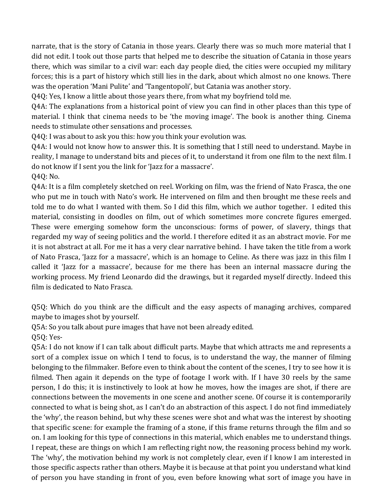narrate, that is the story of Catania in those years. Clearly there was so much more material that I did not edit. I took out those parts that helped me to describe the situation of Catania in those years there, which was similar to a civil war: each day people died, the cities were occupied my military forces; this is a part of history which still lies in the dark, about which almost no one knows. There was the operation 'Mani Pulite' and 'Tangentopoli', but Catania was another story.

Q4Q: Yes, I know a little about those years there, from what my boyfriend told me.

Q4A: The explanations from a historical point of view you can find in other places than this type of material. I think that cinema needs to be 'the moving image'. The book is another thing. Cinema needs to stimulate other sensations and processes.

Q4Q: I was about to ask you this: how you think your evolution was.

Q4A: I would not know how to answer this. It is something that I still need to understand. Maybe in reality, I manage to understand bits and pieces of it, to understand it from one film to the next film. I do not know if I sent you the link for 'Jazz for a massacre'. Q4Q: No.

Q4A: It is a film completely sketched on reel. Working on film, was the friend of Nato Frasca, the one who put me in touch with Nato's work. He intervened on film and then brought me these reels and told me to do what I wanted with them. So I did this film, which we author together. I edited this material, consisting in doodles on film, out of which sometimes more concrete figures emerged. These were emerging somehow form the unconscious: forms of power, of slavery, things that regarded my way of seeing politics and the world. I therefore edited it as an abstract movie. For me it is not abstract at all. For me it has a very clear narrative behind. I have taken the title from a work of Nato Frasca, 'Jazz for a massacre', which is an homage to Celine. As there was jazz in this film I called it 'Jazz for a massacre', because for me there has been an internal massacre during the working process. My friend Leonardo did the drawings, but it regarded myself directly. Indeed this film is dedicated to Nato Frasca.

Q5Q: Which do you think are the difficult and the easy aspects of managing archives, compared maybe to images shot by yourself.

Q5A: So you talk about pure images that have not been already edited.

Q5Q: Yes-

Q5A: I do not know if I can talk about difficult parts. Maybe that which attracts me and represents a sort of a complex issue on which I tend to focus, is to understand the way, the manner of filming belonging to the filmmaker. Before even to think about the content of the scenes, I try to see how it is filmed. Then again it depends on the type of footage I work with. If I have 30 reels by the same person, I do this; it is instinctively to look at how he moves, how the images are shot, if there are connections between the movements in one scene and another scene. Of course it is contemporarily connected to what is being shot, as I can't do an abstraction of this aspect. I do not find immediately the 'why', the reason behind, but why these scenes were shot and what was the interest by shooting that specific scene: for example the framing of a stone, if this frame returns through the film and so on. I am looking for this type of connections in this material, which enables me to understand things. I repeat, these are things on which I am reflecting right now, the reasoning process behind my work. The 'why', the motivation behind my work is not completely clear, even if I know I am interested in those specific aspects rather than others. Maybe it is because at that point you understand what kind of person you have standing in front of you, even before knowing what sort of image you have in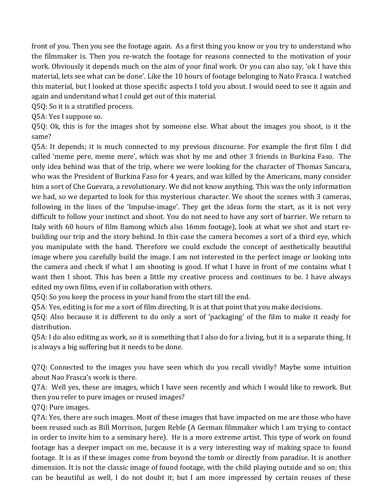front of you. Then you see the footage again. As a first thing you know or you try to understand who the filmmaker is. Then you re-watch the footage for reasons connected to the motivation of your work. Obviously it depends much on the aim of your final work. Or you can also say, 'ok I have this material, lets see what can be done'. Like the 10 hours of footage belonging to Nato Frasca. I watched this material, but I looked at those specific aspects I told you about. I would need to see it again and again and understand what I could get out of this material.

Q5Q: So it is a stratified process.

Q5A: Yes I suppose so.

 $Q5Q$ : Ok, this is for the images shot by someone else. What about the images you shoot, is it the same?

Q5A: It depends; it is much connected to my previous discourse. For example the first film I did called 'meme pere, meme mere', which was shot by me and other 3 friends in Burkina Faso. The only idea behind was that of the trip, where we were looking for the character of Thomas Sancara, who was the President of Burkina Faso for 4 years, and was killed by the Americans, many consider him a sort of Che Guevara, a revolutionary. We did not know anything. This was the only information we had, so we departed to look for this mysterious character. We shoot the scenes with 3 cameras, following in the lines of the 'Impulse-image'. They get the ideas form the start, as it is not very difficult to follow your instinct and shoot. You do not need to have any sort of barrier. We return to Italy with 60 hours of film 8among which also 16mm footage), look at what we shot and start rebuilding our trip and the story behind. In this case the camera becomes a sort of a third eye, which you manipulate with the hand. Therefore we could exclude the concept of aesthetically beautiful image where you carefully build the image. I am not interested in the perfect image or looking into the camera and check if what I am shooting is good. If what I have in front of me contains what I want then I shoot. This has been a little my creative process and continues to be. I have always edited my own films, even if in collaboration with others.

Q5Q: So you keep the process in your hand from the start till the end.

Q5A: Yes, editing is for me a sort of film directing. It is at that point that you make decisions.

Q5Q: Also because it is different to do only a sort of 'packaging' of the film to make it ready for distribution.

Q5A: I do also editing as work, so it is something that I also do for a living, but it is a separate thing. It is always a big suffering but it needs to be done.

Q7Q: Connected to the images you have seen which do you recall vividly? Maybe some intuition about Nao Frasca's work is there.

Q7A: Well yes, these are images, which I have seen recently and which I would like to rework. But then you refer to pure images or reused images?

Q7Q: Pure images.

Q7A: Yes, there are such images. Most of these images that have impacted on me are those who have been reused such as Bill Morrison, Jurgen Reble (A German filmmaker which I am trying to contact in order to invite him to a seminary here). He is a more extreme artist. This type of work on found footage has a deeper impact on me, because it is a very interesting way of making space to found footage. It is as if these images come from beyond the tomb or directly from paradise. It is another dimension. It is not the classic image of found footage, with the child playing outside and so on; this can be beautiful as well, I do not doubt it; but I am more impressed by certain reuses of these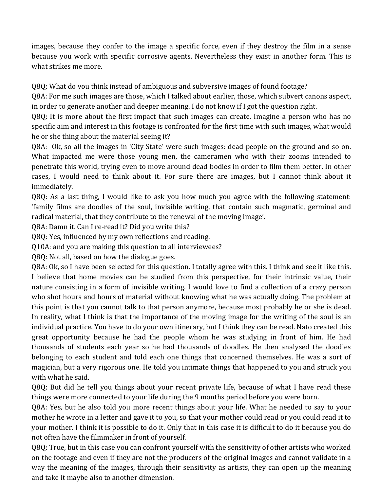images, because they confer to the image a specific force, even if they destroy the film in a sense because you work with specific corrosive agents. Nevertheless they exist in another form. This is what strikes me more.

Q8Q: What do you think instead of ambiguous and subversive images of found footage?

Q8A: For me such images are those, which I talked about earlier, those, which subvert canons aspect, in order to generate another and deeper meaning. I do not know if I got the question right.

Q8Q: It is more about the first impact that such images can create. Imagine a person who has no specific aim and interest in this footage is confronted for the first time with such images, what would he or she thing about the material seeing it?

Q8A: Ok, so all the images in 'City State' were such images: dead people on the ground and so on. What impacted me were those young men, the cameramen who with their zooms intended to penetrate this world, trying even to move around dead bodies in order to film them better. In other cases, I would need to think about it. For sure there are images, but I cannot think about it immediately.

Q8Q: As a last thing, I would like to ask you how much you agree with the following statement: 'family films are doodles of the soul, invisible writing, that contain such magmatic, germinal and radical material, that they contribute to the renewal of the moving image'.

Q8A: Damn it. Can I re-read it? Did you write this?

Q8Q: Yes, influenced by my own reflections and reading.

Q10A: and you are making this question to all interviewees?

Q8Q: Not all, based on how the dialogue goes.

Q8A: Ok, so I have been selected for this question. I totally agree with this. I think and see it like this. I believe that home movies can be studied from this perspective, for their intrinsic value, their nature consisting in a form of invisible writing. I would love to find a collection of a crazy person who shot hours and hours of material without knowing what he was actually doing. The problem at this point is that you cannot talk to that person anymore, because most probably he or she is dead. In reality, what I think is that the importance of the moving image for the writing of the soul is an individual practice. You have to do your own itinerary, but I think they can be read. Nato created this great opportunity because he had the people whom he was studying in front of him. He had thousands of students each year so he had thousands of doodles. He then analysed the doodles belonging to each student and told each one things that concerned themselves. He was a sort of magician, but a very rigorous one. He told you intimate things that happened to you and struck you with what he said.

Q8Q: But did he tell you things about your recent private life, because of what I have read these things were more connected to your life during the 9 months period before you were born.

Q8A: Yes, but he also told you more recent things about your life. What he needed to say to your mother he wrote in a letter and gave it to you, so that your mother could read or you could read it to your mother. I think it is possible to do it. Only that in this case it is difficult to do it because you do not often have the filmmaker in front of yourself.

Q8Q: True, but in this case you can confront yourself with the sensitivity of other artists who worked on the footage and even if they are not the producers of the original images and cannot validate in a way the meaning of the images, through their sensitivity as artists, they can open up the meaning and take it maybe also to another dimension.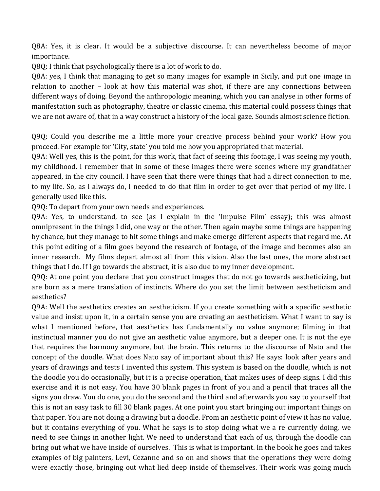Q8A: Yes, it is clear. It would be a subjective discourse. It can nevertheless become of major importance. 

Q8Q: I think that psychologically there is a lot of work to do.

Q8A: yes, I think that managing to get so many images for example in Sicily, and put one image in relation to another - look at how this material was shot, if there are any connections between different ways of doing. Beyond the anthropologic meaning, which you can analyse in other forms of manifestation such as photography, theatre or classic cinema, this material could possess things that we are not aware of, that in a way construct a history of the local gaze. Sounds almost science fiction.

Q9Q: Could you describe me a little more your creative process behind your work? How you proceed. For example for 'City, state' you told me how you appropriated that material.

Q9A: Well yes, this is the point, for this work, that fact of seeing this footage, I was seeing my youth, my childhood. I remember that in some of these images there were scenes where my grandfather appeared, in the city council. I have seen that there were things that had a direct connection to me, to my life. So, as I always do, I needed to do that film in order to get over that period of my life. I generally used like this.

Q9Q: To depart from your own needs and experiences.

Q9A: Yes, to understand, to see (as I explain in the 'Impulse Film' essay); this was almost omnipresent in the things I did, one way or the other. Then again maybe some things are happening by chance, but they manage to hit some things and make emerge different aspects that regard me. At this point editing of a film goes beyond the research of footage, of the image and becomes also an inner research. My films depart almost all from this vision. Also the last ones, the more abstract things that  $I$  do. If  $I$  go towards the abstract, it is also due to my inner development.

Q9Q: At one point you declare that you construct images that do not go towards aestheticizing, but are born as a mere translation of instincts. Where do you set the limit between aestheticism and aesthetics?

Q9A: Well the aesthetics creates an aestheticism. If you create something with a specific aesthetic value and insist upon it, in a certain sense you are creating an aestheticism. What I want to say is what I mentioned before, that aesthetics has fundamentally no value anymore; filming in that instinctual manner you do not give an aesthetic value anymore, but a deeper one. It is not the eye that requires the harmony anymore, but the brain. This returns to the discourse of Nato and the concept of the doodle. What does Nato say of important about this? He says: look after years and years of drawings and tests I invented this system. This system is based on the doodle, which is not the doodle you do occasionally, but it is a precise operation, that makes uses of deep signs. I did this exercise and it is not easy. You have 30 blank pages in front of you and a pencil that traces all the signs you draw. You do one, you do the second and the third and afterwards you say to yourself that this is not an easy task to fill 30 blank pages. At one point you start bringing out important things on that paper. You are not doing a drawing but a doodle. From an aesthetic point of view it has no value, but it contains everything of you. What he says is to stop doing what we a re currently doing, we need to see things in another light. We need to understand that each of us, through the doodle can bring out what we have inside of ourselves. This is what is important. In the book he goes and takes examples of big painters, Levi, Cezanne and so on and shows that the operations they were doing were exactly those, bringing out what lied deep inside of themselves. Their work was going much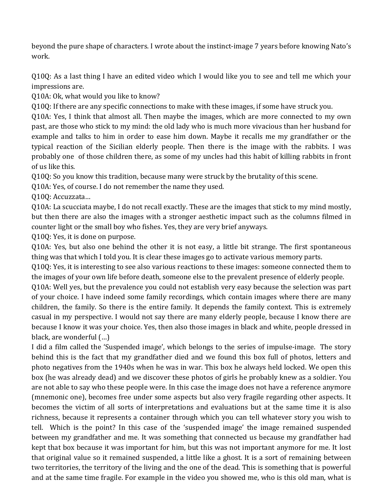beyond the pure shape of characters. I wrote about the instinct-image 7 years before knowing Nato's work. 

Q10Q: As a last thing I have an edited video which I would like you to see and tell me which your impressions are.

Q10A: Ok, what would you like to know?

Q10Q: If there are any specific connections to make with these images, if some have struck you.

Q10A: Yes, I think that almost all. Then maybe the images, which are more connected to my own past, are those who stick to my mind: the old lady who is much more vivacious than her husband for example and talks to him in order to ease him down. Maybe it recalls me my grandfather or the typical reaction of the Sicilian elderly people. Then there is the image with the rabbits. I was probably one of those children there, as some of my uncles had this habit of killing rabbits in front of us like this.

Q10Q: So you know this tradition, because many were struck by the brutality of this scene.

Q10A: Yes, of course. I do not remember the name they used.

Q10Q: Accuzzata...

Q10A: La scucciata maybe, I do not recall exactly. These are the images that stick to my mind mostly, but then there are also the images with a stronger aesthetic impact such as the columns filmed in counter light or the small boy who fishes. Yes, they are very brief anyways.

Q10Q: Yes, it is done on purpose.

Q10A: Yes, but also one behind the other it is not easy, a little bit strange. The first spontaneous thing was that which I told you. It is clear these images go to activate various memory parts.

Q10Q: Yes, it is interesting to see also various reactions to these images: someone connected them to the images of your own life before death, someone else to the prevalent presence of elderly people.

Q10A: Well yes, but the prevalence you could not establish very easy because the selection was part of your choice. I have indeed some family recordings, which contain images where there are many children, the family. So there is the entire family. It depends the family context. This is extremely casual in my perspective. I would not say there are many elderly people, because I know there are because I know it was your choice. Yes, then also those images in black and white, people dressed in black, are wonderful  $(...)$ 

I did a film called the 'Suspended image', which belongs to the series of impulse-image. The story behind this is the fact that my grandfather died and we found this box full of photos, letters and photo negatives from the 1940s when he was in war. This box he always held locked. We open this box (he was already dead) and we discover these photos of girls he probably knew as a soldier. You are not able to say who these people were. In this case the image does not have a reference anymore (mnemonic one), becomes free under some aspects but also very fragile regarding other aspects. It becomes the victim of all sorts of interpretations and evaluations but at the same time it is also richness, because it represents a container through which you can tell whatever story you wish to tell. Which is the point? In this case of the 'suspended image' the image remained suspended between my grandfather and me. It was something that connected us because my grandfather had kept that box because it was important for him, but this was not important anymore for me. It lost that original value so it remained suspended, a little like a ghost. It is a sort of remaining between two territories, the territory of the living and the one of the dead. This is something that is powerful and at the same time fragile. For example in the video you showed me, who is this old man, what is